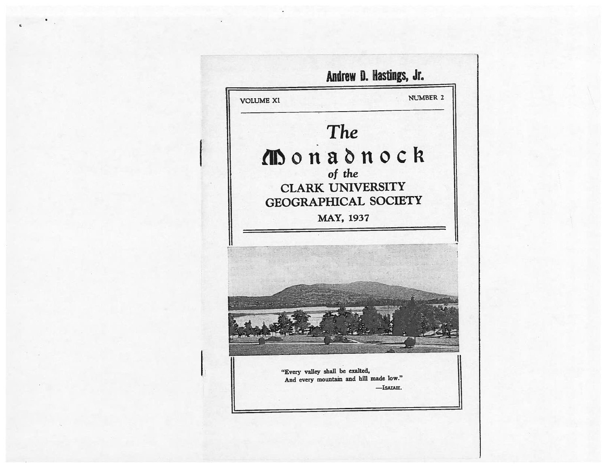# **istings**

**VOLUME XI** 

NI IMBER 2

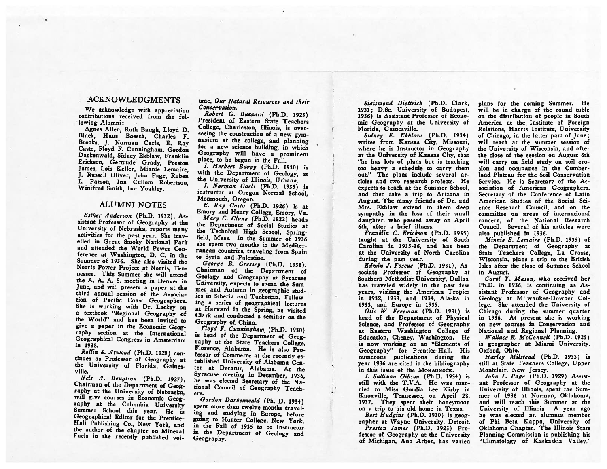#### ACKNOWLEDGMENTS

We acknowledge with appreciation contributions received from the fol lowing Alumni:

Agnes Allen, Ruth Baugh, Lloyd D. Black, Hans Boesch, Charles F. Brooks. J. Norman Carls, E. Ray Casto, Floyd F. Cunningham, Gordon Darkenwald, Sidney Ekblaw, Franklin Erickson, Gertrude Grady, Preston James, Lois Keller, Minnie Lemaire, J. Russell Oliver, John Page, Ruben L. Parson, Ina Cullom Robertson, Winifred Smith, Ina Yoakley.

### ALUMNI NOTES

Esther Anderson (Ph.D. 1932), As sistant Professor of Geography at the University of Nebraska, reports many activities for the pas<sup>t</sup> year. She trav elled in Great Smoky National Park and attended the World Power Con ference at Washington, D. C. in the Summer of 1936. She also visited the Norris Power Project at Norris, Ten nessee. This Summer she will attend the A. A. A. S. meeting in Denver in June, and will presen<sup>t</sup> <sup>a</sup> paper at the third annual session of the Associa-<br>tion of Pacific Coast Geographers. She is working with Dr. Lackey on <sup>a</sup> textbook "Regional Geography of the World" and has been invited to <sup>g</sup>ive <sup>a</sup> paper in the Economic Geog raphy section at the International Geographical Congress in Amsterdam in 1938.

Rollin S. Atwood (Ph.D. 1928) con tinues as Professor of Geography at the University of Florida, Gaines ville.

Nels A. Bengtson (Ph.D. 1927), Chairman of the Department of Geography at the University of Nebraska, will give courses in Economic Geog-<br>raphy at the Columbia University Summer School this year. He is Geographical Editor for the Prentice-Hall Publishing Co., New York, and the author of the chapter on Mineral Fuels in the recently published vol-

#### ume, Our Natural Resources and their Conservation.

Robert G. Buzzard (Ph.D. 1925) President of Eastern State Teachers College, Charleston, Illinois, is over-<br>seeing the construction of a new gymnasium at the college, and planning for a new science building, in which Geography will have <sup>a</sup> prominent place, to be begun in the Fall.

J. Herbert Burgy (Ph.D. 1930) is with the Department of Geology, at the University of Illinois, Urbana.

J. Norman Carts (Ph.D. 1935) is instructor at Oregon Normal School, Monmouth, Oregon.

E. Ray Casto (Ph.D. 1926) is at Emory and Henry College, Emory, Va. Mary C. Clune (Ph.D. 1922) heads the Department of Social Studies at<br>the Technical High School, Springfield, Mass. In the Summer of 1936 she spen<sup>t</sup> two months in the Mediter ranean countries, traveling from Spain to Syria and Palestine.

George B. Cressey (Ph.D. 1931)., Chairman of the Department of<br>Geology and Geography at Syracuse University, expects to spend the Summer and Autumn in geographic stud ies in Siberia and Turkestan. Fullow ing <sup>a</sup> series of geographical lectures at Harvard in the Spring, he visited Clark and conducted <sup>a</sup> seminar on the Geography of China.<br>Floyd F. Cunningham (Ph.D. 1930)

is head of the Department of Geog-<br>raphy at the State Teachers College. Florence, Alabama. He is also Pro-<br>fessor of Commerce at the recently established University of Alabama Center at Decatur, Alabama. At the Syracuse meeting in December, 1936. he was elected Secretary of the National Council of Geography Teach ers.

Gordon Darkenwald (Ph. D. 1934) spent more than twelve months traveling and studying in Europe, before going to Hunter College, New York, in the Fall of <sup>1935</sup> to he Instructor in the Department of Geology and Geography.

Sigismond Diettrich (Ph.D. Clark, 1931; D.Sc. University of Budapest, 1936) is Assistant Professor of Econo mic Geography at the University of Florida, Gainesville.

Sidney E. Ekblaw (Ph.D. 1934) writes from Kansas City, Missouri, where he is Instructor in Geography at the University of Kansas City, that "he has lots of plans but is teaching too heavy <sup>a</sup> schedule to carry them out." The plans include several ar ticles and two research projects. He expects to teach at the Summer School, and then take <sup>a</sup> trip to Arizona in August. The many friends of Dr. and Mrs. Ekblaw extend to them deep sympathy in the loss of their small daughter, who passed away on April 6th, after <sup>a</sup> brief illness.

Franklin C. Erickson (Ph.D. 1935) taught at the University of South Carolina in 1935-36, and has been at the University of North Carolina during the pas<sup>t</sup> year.

Edwin J. Foscue (Ph.D. 1931), As sociate Professor of Geography at Southern Methodist University, Dallas, has traveled widely in the pas<sup>t</sup> few years, visiting the American Tropics in 1932, 1933, and 1934, Alaska in 1933, and Europe in 1935.

Otis IV. Freeman (Ph.D. 1931) is head of the Department of Physical Science, and Professor of Geography at Eastern Washington College of Education, Cheney, Washington. He is now working on an "Elements of Geography" for Prentice-Hall. His numerous publications during the year 1936 are cited in the bibliography in this issue of the MONADNOCK.

J. Sullivan Gibson (Ph.D. 1934) is still with the T.V.A. He was mar ried to Miss Gordia Lee Kirby in Knoxville, Tennessee, on April 28, 1937. They spen<sup>t</sup> their honeymoon on <sup>a</sup> trip to his old home in Texas.

Bert Hudgins (Ph.D. 1930) is geog rapher at Wayne University, Detroit. Preston James (Ph.D. 1923) Pro fessor of Geography at the University of Michigan, Ann Arbor, has varied

plans for the coming Summer. He will be in charge of the round table on the distribution of people in South America at the Institute of Foreign Relations, Harris Institute, University of Chicago, in the latter par<sup>t</sup> of June; will teach at the summer session of the University of Wisconsin, and after the close of the session on August 6th will carry on field study on soil erosion and occupance in the Cumberland Plateau for the Soil Conservation Service. He is Secretary of the As sociation of American Geographers, Secretary of the Conference of Latin American Studies of the Social Sci ence Research Council, and on the committee on areas of international concern, of the National Research Council. Several of his articles were also published in 1936.

Minnie E. Lemaire (Ph.D. 1935) of the Department of Geography at State Teachers College, La Crosse, Wisconsin, plans <sup>a</sup> trip to the British Isles after the close of Summer School in August.

Carol Y. Mason, who received her Ph.D. in 1936, is continuing as As sistant Professor of Geography and Geology at Milwaukee-Downer Col lege. She attended the University of Chicago during the summer quarter in 1936. At presen<sup>t</sup> she is working on new courses in Conservation and National and Regional Planning.

Wallace R. McConnell (Ph.D. 1925) is geographer at Miami University, Oxford, Ohio.

Harley Milstead (Ph.D. 1933) is still at State Teachers College, Upper Montclair, New Jersey.

John L. Page (Ph.D. 1929) Assist ant Professor of Geography at the University of Illinois, spen<sup>t</sup> the Sum mer of 1936 at Norman, Oklahoma, and will reach this Summer at the University of Illinois. <sup>A</sup> year ago he was elected an alumnus member of Phi Beta Kappa, University of Oklahoma Chapter. The Illinois State Planning Commission is publishing his "Climatology of Kaskaskia Valley."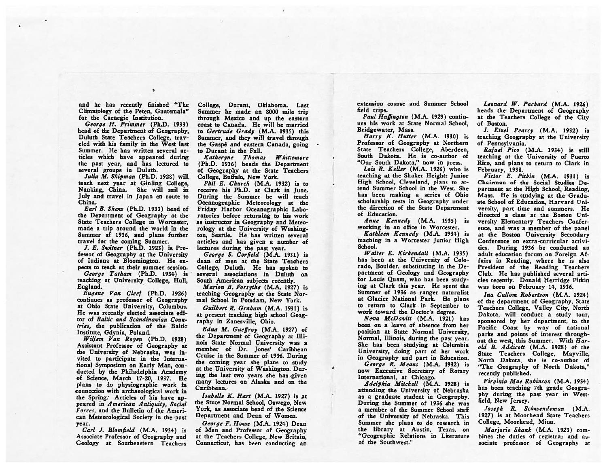and he has recently finished "The Climatology of the Peten, Guatemala" for the Carnegie Institution.

George H. Primmer (Ph.D. 1933) head of the Department of Geography, Duluth State Teachers College, trav eled with his family in the West last Summer. He has written several ar ticles which have appeared during the past year, and has lectured to several groups in Duluth.

Julia M. Shipman (Ph.D. 1928) will teach next year at Ginling College, Nanking, China. She will sail in July and travel in Japan en route to China.

Earl B. Shagu (Ph.D. 1933) head of the Department of Geography at the State Teachers College in Worcester, made <sup>a</sup> trip around the world in the Summer of 1936, and plans further travel for the coming Summer.

J. E. Switzer (Ph.D. 1923) is Pro fessor of Geography at the University of Indiana at Bloomington. He ex pects to teach at their summer session.

George Tatham (Ph.D. 1934) is teaching at University College, Hull, England.

Eugene Van Cleef (Ph.D. 1926) continues as professor of Geography at Ohio State University, Columbus. He was recently elected associate edi tor of Baltic and Scandinavian Countries, the publication of the Baltic Institute, Gdynia, Poland.

Willem Van Royen (Ph.D. 1928) Assistant Professor of Geography at the University of Nebraska, was in vited to participate in the Interna tional Symposium on Early Man, con ducted by the Philadelphia Academy of Science, March 17-20, 1937. He <sup>p</sup>lans to do <sup>p</sup>hysiographic work in connection with archaeological work in the Spring; Articles of his have ap peared in American Antiquity, Social Forces, and the Bulletin of the Ameri can Meteorological Society in the past year.

Carl J. Blomfield (M.A. 1934) is Associate Professor of Geography and Geology at Southeastern Teachers

College, Durant, Oklahoma. Last Summer he made an 8000 mile trip through Mexico and up the eastern Coast to Canada. He will he married to Gertrude Grady (M.A. 1935) this Summer, and they will travel through the Gaspé and eastern Canada, going to Durant in the Fall.

Katheryne Thomas Wirittem ore (Ph.D. 1936) heads the Department of Geography at the State Teachers College, Buffalo, New York.

Phil E. Church (M.A. 1932) is to receive his Ph.D. at Clark in June. During the Summer he will teach Oceanographic Meteorology at the Friday Harbor Oceanographic Labo ratories before returning to his work as instructor in Geography and Meteo rology at the University of Washing ton, Seattle. He has written several articles and has given <sup>a</sup> number of lectures during the past year.

George S. Corfield (M.A. 1931) is dean of men at the State Teachers College, Duluth. He has spoken to several associations in Duluth on South American subjects recently.

Marion B. Forsythe (M.A. 1927) is teaching Geography at the State Nor mal School in Potsdam, New York.

Guilbert R. Graham (M.A. 1931) is at present teaching high school Geog raphy in Zanesville, Ohio.

Edna M. Cueffroy (M.A. 1927) of the Department of Geography at Illi nois State Normal University was <sup>a</sup> member of Dr. Jones' Caribbean Cruise in the Summer of 1936. During the coming year she <sup>p</sup>lans to study at the University of Washington. Dur ing the last two years she has given many lectures on Alaska and on the Caribbean.

Isabelle K. Hart (M.A. 1927) is at the State Normal School, Oswego, New York, as associate head of the Science Department and Dean of Women.

George F. Howe (M.A. 1924) Dean of Men and Professor of Geography at the Teachers College, New Britain, Connecticut, has been conducting an extension course and Summer School field trips.

Paul Huffington (M.A. 1929) continues his work at State Normal School, Bridgewater, Mass.

 $Harrow K$ . Hutter  $(M.A. 1930)$  is Professor of Geography at Northern State Teachers College, Aberdeen, South Dakota. He is co-author of "Our South Dakota," now in press.

Lois R. Keller (MA. 1926) who is teaching at the Shaker Heights Junior High School, Cleveland, plans to at tend Summer School in the West. She has been making <sup>a</sup> series of Ohio scholarship tests in Geography under the direction of the State Department of Education.

Anne Kennedy (M.A. 1935) is working in an office in Worcester.

Kathleen Kennedy (M.A. 1934) is teaching in <sup>a</sup> Worcester Junior High School.

Walter E. Kirkendall (M.A. 1935) has been at the University of Colo rado, Boulder, substituting in the De partment of Geology and Geography for Louis Guam, who has been study ing at Clark this year. He spent the Summer of 1936 as ranger naturalist at Glacier National Park. He plans to return to Clark in September to work toward the Doctor's degree.

Neva McDavitt (M.A. 1921) has been on <sup>a</sup> leave of absence from her position at State Normal University, Normal, Illinois, during the past year. She has been studying at Columbia University, doing part of her work in Geography and part in Education.

George R. Means (M.A. 1932) is now Executive Secretary of Rotary International, at Chicago.

Adeiphia Mitchell (M.A. 1928) is attending the University of Nebraska as <sup>a</sup> graduate student in Geography. During the Summer of 1936 she was <sup>a</sup> member of the Summer School staff of the University of Nebraska. This Summer she plans to do research in the library at Austin, Texas, on "Geographic Relations in Literature of the Southwest."

Leonard W. Packard (M.A. 1926) heads the Department of Geography at the Teachers College of the City of Boston.

I. Etzel Pearcy (M.A. 1932) is teaching Geography at the University of Pennsylvania.

Rafael Pico (M.A. 1934) is still teaching at the University of Puerto Rico, and plans to return to Clark in February, 1938.

Victor E. Pitkin (M.A. 1931) is Chairman of the Social Studies De partment at the High School, Reading, Mass. He is studying at the Gradu ate School of Education, Harvard Uni versity, part time and summers. He directed a class at the Boston University Elementary Teachers Confer ence, and was <sup>a</sup> member of the panel at the Boston University Secondary Conference on extra-curricular activi ties. During 1936 he conducted an adult education forum on Foreign Af fairs in Reading, where he is also President of the Reading Teachers Club. He has published several arti cles recently. Donald Herridge Pirkin was born on February 14, 1936.

Ina Cullom Robertson (M.A. 1924) of the department of Geography, State Teachers College, Valley City, North Dakota, will conduct <sup>a</sup> study tour, sponsored by her department, to the Pacific Coast by way of national parks and points of interest through out the west, this Summer. With Harold B. Addicott (M.A. 1928) of the State Teachers College, Mayville, North Dakota, she is co-author of "The Geography of North Dakota," recently published.

Virginia Mae Robinson (M.A. 1934) has been teaching 7th grade Geogra phy during the past year in West field, New Jersey.

Joseph R. Schwendeman (M.A. 1927) is at Moorhead State Teachers College, Moorhead, Minn.

Marjorie Shank (M.A. 1923) com bines the duties of registrar and associate professor of Geography at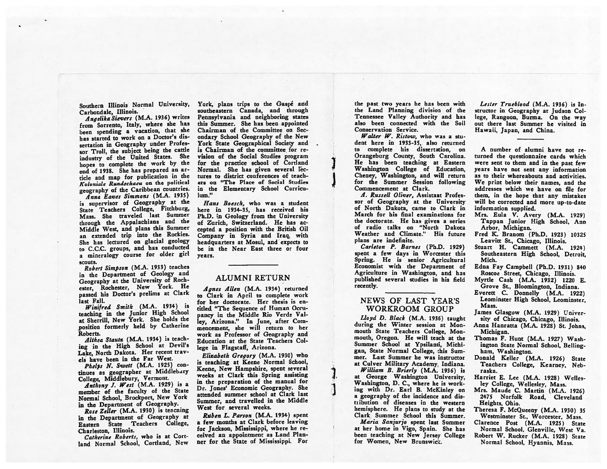Southern Illinois Normal University, Carbondale, Illinois.

Angelika Sievers (M.A. 1936) writes from Sorrento, Italy, where she has been spending <sup>a</sup> vacation, that she has started to work on <sup>a</sup> Doctor's dis sertation in Geography under Profes sor Troll, the subject being the cattle industry of the United States. She hopes to complete the work by the end of 1938. She has prepared an ar ticle and map for publication in the Koloniale Rundschaeu on the political geography of the Caribbean countries.

Anna Eaves Simmons (M.A. 1935) is supervisor of Geography at the State Teachers College, Fitchburg, Mass. She traveled last Summer through the Appalachians and the Middle West, and <sup>p</sup>lans this Summer an extended trip into the Rockies. She has lectured on glacial geology to C.C.C. groups, and has conducted <sup>a</sup> mineralogy course for older <sup>g</sup>irl scouts.

Robert Simpson (M.A. 1933) teaches in the Department of Geology and Geography at the University of Roch ester, Rochester, New York. He passe<sup>d</sup> his Doctor's prelims at Clark last Fall.

Winifred Smith (M.A. 1934) is teaching in the Junior High School at Sherrill, New York. She holds the position formerly held by Catherine Roberts.

Aithea Stautz (M.A. 1934) is teach ing in the High School at Devil's Lake, North Dakota. Her recent travels have been in the Far West.

Phelps N. Swett (M.A. 1925) continues as geographer at Middlebury College, Middlebury, Vermont.

Anthony J. West (M.A. 1929) is <sup>a</sup> member of the faculty of the State Normal School, Brockport, New York in the Department of Geography.

Rose Zeller (M.A. 1930) is teacning in the Department of Geography at Eastern State Teachers College, Charleston, Illinois.

Catherine Roberts, who is at Cort land Normal School, Cortland, New

York, plans trips to the Gaspé and southeastern Canada, and through Pennsylvania and neighboring states this Summer. She has been appointed Chairman of the Committee on Sec ondary School Geography of the New York State Geographical Society and is Chairman of the committee for re vision of the Social Studies program for the practice school of Cortland Normal. She has given several lec tures to district conferences of teach ers on "The Place of Social Studies in the Elementary School Curricu lum."

Hans Boesch, who was <sup>a</sup> student here in 1934-35, has received his Ph.D. in Geology from the University of Zurich, Switzerland. He has accepted <sup>a</sup> position with the British Oil Company in Syria and Iraq, with headquarters at Mosul, and expects to be in the Near East three or four years.

#### ALUMNI RETURN

Agnes Allen (M.A. 1934) returned to Clark in April to complete work for her doctorate. Her thesis is en titled "The Sequence of Human Occu pancy in the Middle Rio Verde Val ley, Arizona." In June, after Com mencement, she will return to her work as Professor of Geography and Education at the State Teachers Col lege in Flagstaff, Arizona.

Elizabeth Gregory (M.A. 1930) who is teaching at Keene Normal School, Keene, New Hampshire, spen<sup>t</sup> several weeks at Clark this Spring assisting in the preparation of the manual for Dr. Jones' Economic Geography. She attended summer school at Clark last Summer, and travelled in the Middle West for several weeks.

Ruben L. Parson (M.A. 1934) spen<sup>t</sup> <sup>a</sup> few months at Clark before leaving for Jackson, Mississippi, where he re ceived an appointment as Land Plan ner for the State of Mississippi. For the pas<sup>t</sup> two years he has been with the Land Planning division of the Tennessee Valley Authority and has also been connected with the Soil Conservation Service.

Walter W. Ristow, who was a stu dent here in 1933-35, also returned to complete his dissertation, on Orangeburg County, South Carolina. ] He has been teaching at Eastern -: Washington College of Education, Cheney, Washington, and will return for the Summer Session following Commencement at Clark.

A. Russell Oliver, Assistant Professor of Geography at the University of North Dakota, came to Clark in March for his final examinations for the doctorate. He has given <sup>a</sup> series of radio talks on "North Dakota Weather and Climate." His future plans are indefinite.

Carleton P. Barnes (Ph.D. 1929) spen<sup>t</sup> <sup>a</sup> few days in Worcester this Spring. He is senior Agricultural Economist with the- Department of Agriculture in Washington, and has published several studies in his field recently.

#### NEWS OF LAST YEAR'S WORKROOM GROUP

Lloyd D. Black (M.A. 1936) taught during the Winter session at Mon mouth State Teachers College, Mon mouth, Oregon. He will teach at the Summer School at Ypsilanti, Michi gan, State Normal College, this Sum mer. Last Summer he was instructor at Culver Military Academy, Indiana,

William B. Brierly (M.A. 1936) is at George Washington University, Washington, D. C., where he is work ing with Dr. Earl B. McKinley on a geography of the incidence and distribution of diseases in the western hemisphere. He <sup>p</sup>lans to study at the Clark Summer School this Summer.

Maria Sanjurjo spen<sup>t</sup> last Summer at her home in Vigo, Spain. She has been teaching at New Jersey College for Women, New Brunswick.

Lester Trueblood (M.A. 1936) is In structor in Geography at Judson College, Rangoon, Burma. On the way out there last Summer he visited in Hawaii, Japan, and China.

A number of alumni have not re turned the questionnaire cards which were sent to them and in the past few years have not sent any information as to their whereabouts and activities. We print below their names, and the addresses which we have on file for them, in the hope that any mistakes will be corrected and more up-to-date information supplied.

- Mrs. Eula V. Avery (M.A. 1929) Tappan Junior High School, Ann Arbor, Michigan.
- Fred K. Branom (Ph.D. 1923) 10325 Leavitt St., Chicago, Illinois.
- Stuart H. Cammett (M.A. 1924) Southeastern High School, Detroit, Mich.
- Edna Fay Campbell (Ph.D. 1931) 840 Roscoe Street, Chicago, Illinois.
- Myrtle Cash (M.A. 1932) 1220 E. Grove St., Bloomington, Indiana.
- Everett C. Donnelly (M.A. 1922) Leominster High School, Leominster, Mass.
- James Glasgow (M.A. 1929) Univer sity of Chicago, Chicago, Illinois.
- Anna Hanratta (M.A. 1928) St. Johns, Michigan.
- Thomas F. Hunt (M.A. 1927) Wash ington State Normal School, Belling ham, Washington.
- Donald Keller (M.A. 1926) State Teachers College, Kearney, Neb raska.
- Harriet E. Lee (M.A. 1928) Welles Icy College, Wellesley, Mass.
- Mrs. Maude C. Martin (M.A. 1926) 2475 Norfolk Road, Cleveland Heights, Ohio.
- Theresa F. McQueeny (M.A. 1930) 35 Westminster St., Worcester, Mass.
- Clarence Post (M.A. 1925) State Normal School, Glenville, West Va. Robert W. Rucker (M.A. 1928) State

Normal School, Hyannis, Mass.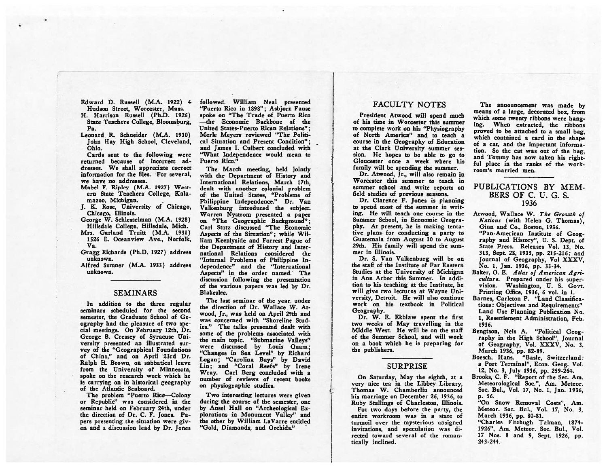- Edward D. Russell (M.A. 1922) 4
- Hudson Street, Worcester, Mass. H. Harrison Russell (Ph.D. 1926) State Teachers College, Bloomsburg,  $P<sub>n</sub>$
- Leonard R. Schneider (M.A. 1930) John Hay High School, Cleveland, Ohio.

Cards sent to the following were returned because of incorrect ad dresses. We shall appreciate correct information for the files. For several, we have no addresses.

- Mabel F. Ripley (M.A. 1927) West ern State Teachers College, Kala mazoo, Michigan.
- J. K. Rose, University of Chicago, Chicago, Illinois.
- George W. Schlesselman (M.A. 1921) Hillsdale College, Hillsdale, Mich. Mrs. Garland Truitt (M.A. 1931)
- 1526 E. Oceanview Ave., Norfolk, Va.
- Gragg Richards (Ph.D. 1927) address unknown.
- Alfred Sumner (M.A. 1933) address unknown.

#### SEMINARS

In addition to the three regular seminars scheduled for the second semester, the Graduate School of Ge ography had the pleasure of two spe cial meetings. On February 12th, Dr. George B. Cressey of Syracuse Uni versity presented an illustrated sur vey of the "Geographical Foundations of China," and on April 23rd Dr. Ralph H. Brown, on sabbatical leave from the University of Minnesota, spoke on the research work which he is carrying on in historical geography of the Atlantic Seaboard.

The problem "Puerto Rico—Colony or Republic" was considered in the seminar held on February 24th, under the direction of Dr. C. F. Jones. Pa pers presenting the situation were giv en and <sup>a</sup> discussion lead by Dr. Jones

followed. William Neal presented "Puerto Rico in 1898"; Asbjorn Fause spoke on "The Trade of Puerto Rico —the Economic Backbone of the United States-Puerto Rican Relations"; Merle Meyers reviewed "The Politi cal Situation and Present Condition"; and James I. Culbert concluded with "What Independence would mean to Puerto Rico."

The March meeting, held jointly with the Department of History and International Relations, March 17th, dealt with another colonial problem of the United States, "Problems of Philippine Independence." Dr. Van Valkenburg introduced the subject. Warren Nystrom presented <sup>a</sup> paper on "The Geographic Background"; Carl Stotz discussed "The Economic Aspects of the Situation"; while Wil liam Keenlyside and Forrest Pogue of the Department of History and Inter national Relations considered the "Internal Problems of Philippine in dependence" and the "International Aspects" in the order named.' The discussion following the presentation of the various papers was led by Dr. Blakeslee.

The last seminar of the year, under the direction of Dr. Wallace W. At wood, Jr., was held on April 29th and was concerned with "Shoreline Stud ies." The talks presented dealt with some of the problems associated with the main topic. "Submarine Valleys" were discussed by Louis Quam; "Changes in Sea Level" by Richard Logan; "Carolina Bays" by David Lin; and "Coral Reefs" by Irene Wray. Carl Berg concluded with <sup>a</sup> number of reviews of recent books on physiographic studies.

Two interesting lectures were given during the course of the semester, one by Ansel Hall on "Archeological Ex plorations in Monument Valley" and the other by William LaVarre entitled "Gold, Diamonds, and Orchids."

#### FACULTY NOTES

President Atwood will spend much of his time in Worcester this summer to complete work on his "Physiography of North America" and to teach <sup>a</sup> course in the Geography of Education at the Clark University summer ses sion. He hopes to be able to go to Gloucester once <sup>a</sup> week where his family will be spending the summer.

Dr. Atwood, Jr., will also remain in Worcester this summer to teach in summer school and write reports on field studies of previous seasons.

Dr. Clarence F. Jones is planning to spend most of the summer in writ ing. He will teach one course in the Summer School, in Economic Geogra phy. At present, he is making tenta tive plans for conducting <sup>a</sup> party to Guatemala from August 10 to August 29th. His family will spend the sum mer in Illinois.

Dr. S. Van Valkenburg will be on the staff of the Institute of Far Eastern Studies at the University of Michigan in Ann Arbor this Summer. In addi tion to his teaching at the Institute, he will give two lectures at Wayne University, Detroit. He will also continue work on his textbook in Political Geography.

Dr. W. E. Ekblaw spen<sup>t</sup> the first two weeks of May travelling in the Middle West. He will be on the staff of the Summer School, and will work on <sup>a</sup> book which he is preparing for the publishers.

# **SURPRISE**

On Saturday, May the eighth, at <sup>a</sup> very nice tea in the Libbey Library, Thomas W. Chamberlin announced his marriage on December 26, 1936, to Ruby Stallings of Charleston, Illinois.

For two days before the party, the entire workroom was in <sup>a</sup> state of turmoil over the mysterious unsigned invitations, and speculation was di rected toward several of the roman tically inclined.

The announcement was made by means of <sup>a</sup> large, decorated box, from which some twenty ribbons were hanging. 'When extracted, the ribbons prove<sup>d</sup> to be attached to <sup>a</sup> small bag, which contained <sup>a</sup> card in the shape of <sup>a</sup> cat, and the important informa tion. So the cat was out of the bag, and Tommy has now taken his rightful place in the ranks of the work room's married men.

#### PUBLICATIONS BY MEM BERS OF C. U. C. S. 1936

- Atwood, Wallace W. The Groewth of Nations (with Helen G. Thomas), Ginn and Co., Boston, 1936. "Pan-American Institute of Geog raphy and History", U. S. Dept. of State Press. Releases Vol. 13, No. 313, Sept. 28, 1935, pp. 215-216; and Journal of Geography, Vol XXXV, No. 1, Jan. 1936, pp. 33-34.
- Baker, O. E. Atlas of American Agriculture. Prepared under his super vision. Washington, U. S. Govt. Printing Office, 1936, 6 vol. in 1.
- Barnes, Carleton P. "Land Classifica tions: Objectives and Requirements" Land Use Planning Publication No. 1, Resettlement Administration, Feb. 1936.
- Bengtson, Nels A. "Political Geog raphy in the High School", Journal of Geography, Vol. XXXV, No. 3, March 1936, pp. 82-89.
- Boesch, Hans. "Basle, Switzerland: <sup>a</sup> Port Terminal", Econ. Geog. Vol. 12, No. 3, July 1936, pp. 259-264.

Brooks, C. F. "Report of the Sec. Am. Meteorological Soc.", Am. Meteor. Soc. Bul., Vol. 17, No. 1, Jan. 1936, p. 56.

"On Snow Removal Costs", Am. Meteor. Soc. Bul., Vol. 17, No. 3, March 1936, pp. 80-81.

"Charles Fitzhugh Talman, 1874- 1926", Am. Meteor. Soc. BuL, Vol. <sup>17</sup> Nos. <sup>8</sup> and 9, Sept. 1926. pp. 243-244.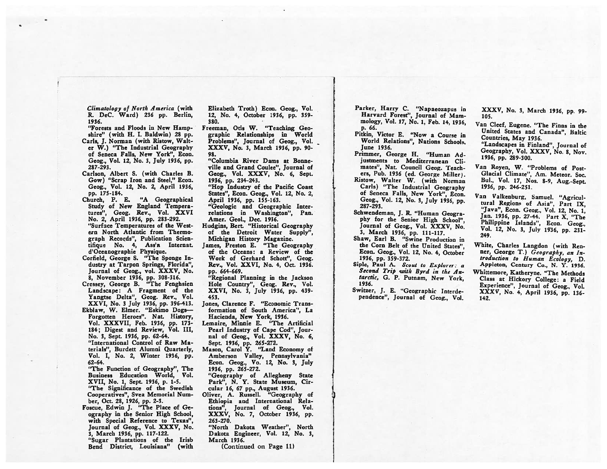Climatology of North America (with R. DeC. Ward) 236 pp. Berlin, 1936.

"Forests and Floods in New Hamp shire" (with H. I. Baldwin) <sup>28</sup> pp. Carls, J. Norman (with Ristow, Walt er W.) "The Industrial Geography of Seneca Falls, New York", Econ. Geog., Vol. 12, No. 3, July 1936, pp. 287-293.

Carlson, Albert S. (with Charles B. Gow) "Scrap Iron and Steel," Econ. Geog., Vol. 12, No. 2, April 1936,

pp. 175-184.<br>Church, P. E. "A Geographical Study of New England Tempera tures", Geog. Rev., Vol. XXVI No. 2, April 1936, pp. 283-292. "Surface Temperatures of the West ern North Atlantic from Thermo graph Records", Publication Scien tifique No. 4, Ass'n Internat. d'Oceanographie Physique.

Corfield, George S. "The Sponge Industry at Tarpon Springs, Florida", Journal of Geog., vol. XXXV, No. 8, November 1936, pp. 308-316.

Cressey, George B. "The Fenghsien Landscape: A Fragment of the Yangtse Delta", Geog. Rev., Vol. XXVI, No. <sup>3</sup> July 1936, pp. 396-413. Ekblaw, W. Elmer. "Eskimo Dogs— Forgotten Heroes". Nat. History, Vol. XXXVII, Feb. 1936, pp. 173-

184; Digest and Review, Vol. III, No. 3, Sept. 1936, pp. 62-64. "International Control of Raw Ma terials", Burdett Alumni Quarterly,

Vol. I, No. 2, Winter 1936, pp. 62-64.

"The Function of Geography", The Business Education World, Vol. XVII, No. 1, Sept. 1936, p. 1-5. "The Significance of the Swedish Cooperatives", Svea Memorial Num ber, Oct. 28, 1926, pp. 2-3.

Foscue, Edwin J. "The Place of Ge ography in the Senior High School, with Special Reference to Texas", Journal of Geog., Vol. XXXV, No. 3, March 1936, pp. 117-122.

"Sugar Plantations of the Irish Bend District, Louisiana" (with Elizabeth Troth) Econ. Geog., Vol. 12, No. 4, October 1936, pp. 359- 380.

Freeman, Otis W. "Teaching Geo graphic Relationships in World Problems", Journal of Geog., Vol. XXXV, No. 3, March 1936, pp. 90- 98.

"Columbia River Dams at Bonne ville and Grand Coulee", Journal of Geog., Vol. XXXV, No. 6, Sept. 1936, pp. 234-243.

"Hop Industry of the Pacific Coast States", Econ. Geog., Vol. 12, No. 2, April 1936, pp. 155-163.

"Geologic and Geographic Inter relations in Washington", Pan. Amer. Geol., Dec. 1936.

Hudgins, Bert. "Historical Geography of the Detroit Water Supply", Michigan History Magazine.

James, Preston E. "The Geography of the Oceans: <sup>a</sup> Review of the Work of Gerhard Schott", Geog. Rev., Vol. XXVI, No. 4, Oct. 1936. pp. 664-669.

"Regional Planning in the Jackson Hole Country", Geog. Rev., Vol. XXVI, No. 3, July 1936, pp. 439- 453.

Jones, Clarence F. "Economic Trans formation of South America", La Hacienda, New York, 1936.

Lemaire, Minnie E. "The Artificial Pearl Industry of Cape Cod", Jour nal of Geog., Vol. XXXV, No. 6, Sept. 1936, pp. 265-272.

Mason, Carol Y. "Land Economy of Amberson Valley, Pennsylvania" Econ. Geog., Vo. 12, No. 3, July 1936, pp. 265-272.

"Geography of Allegheny State Park", N. Y. State Museum, Cir cular 16, 67 pp., August 1936.

Oliver, A. Russell. "Geography of Ethiopia and International Rela tions", Journal of Geog., Vol. XXXV, No. 7, October 1936, pp. 263-270.

"North Dakota Weather", North Dakota Engineer, Vol. 12, No. 3, March 1936.

(Continued on Page 11)

Parker, Harry C. "Napaeozapus in Harvard Forest", Journal of Mam mology, Vol. 17, No. 1, Feb. 14, 1936, p. 66.

Pitkin, Victor B. "Now <sup>a</sup> Course in World Relations", Nations Schools, June 1936.

Primmer, George H. "Human Ad justments to Mediterranean Cli mates", Nat. Council Geog. Teach ers, Pub. <sup>1936</sup> (ed. George Miller). Ristow, Walter W. (with Norman

Carls) "The Industrial Geography of Seneca Falls, New York", Econ. Geog., Vol. 12, No. 3, July 1936, pp. 287-293.

Schwendeman, J. R. "Human Geogra <sup>p</sup>hy for the Senior High School", Journal of Geog., Vol. XXXV, No. 3, March 1936, pp. 111-117.

Shaw, Earl B. "Swine Production in the Corn Belt of the United States", Econ. Geog., Vol. 12, No. 4, October 1936, pp. 359-372.

Siple, Paul A. Scout to Explorer: <sup>a</sup> Second Trip with Byrd in the An tarctic, G. P. Putnam, New York, 1936.

Switzer, J. E. "Geographic Interde pendence", Journal of Geog., Vol. XXXV, No. 3, March 1936, pp. 99- 105.

Van Cleef, Eugene. "The Finns in the United States and Canada", Baltic Countries, May 1936.

"Landscapes in Finland", Journal of Geography, Vol. XXXV, No. 8, Nov. 1936, pp. 289-300.

Van Royen, W. "Problems of Post Glacial Climate", Am. Meteor. Soc. Bul., Vol. 17, Nos. 8-9, Aug.-Sept. 1936, pp. 246-251.

Van Valkenburg, Samuel. "Agricul-<br>tural Regions of Asia", Part IX,<br>"Java", Econ. Geog., Vol. 12, No. 1,<br>Jan. 1936, pp. 27-44. Part X, "The<br>Philippine Islands", Econ. Geog., Vol. 12, No. 3, July 1936, pp. 231-249.

White, Charles Langdon (with Ren ner, George T.) Geography, an Introduction to Human Ecology, D. Appleton, Century Co., N. Y. 1936.

Whittemore, Katheryne. "The Methods Class at Hickory College: <sup>a</sup> Field Experience", Journal of Geog., VoL XXXV, No. 4, April 1936, pp. 136- 142.